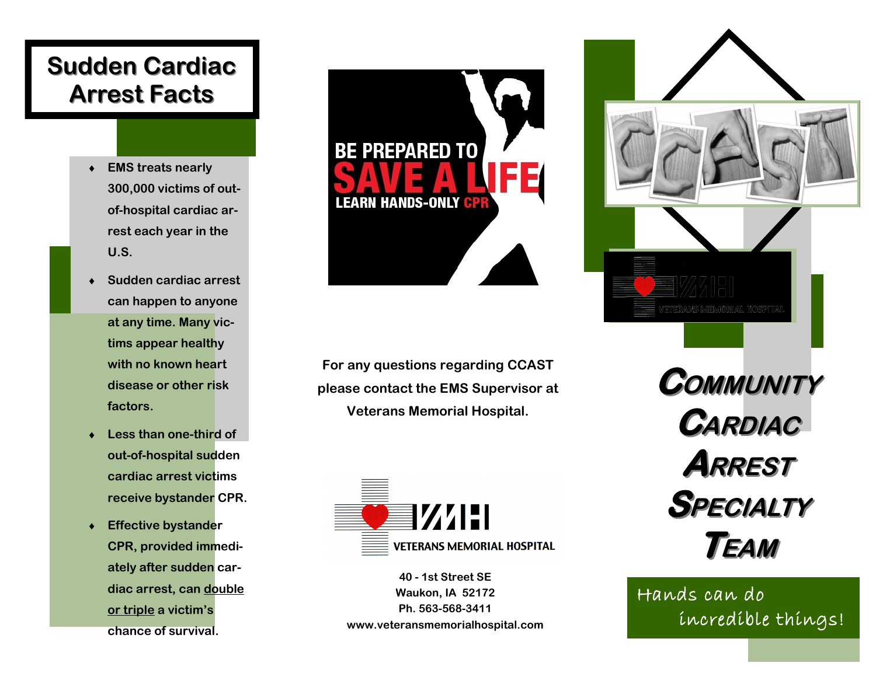## **Sudden Cardiac Arrest Facts**

- **EMS treats nearly 300,000 victims of outof-hospital cardiac arrest each year in the U.S.**
- **Sudden cardiac arrest can happen to anyone at any time. Many victims appear healthy with no known heart disease or other risk factors.**
- **Less than one-third of out-of-hospital sudden cardiac arrest victims receive bystander CPR.**
- **Effective bystander CPR, provided immediately after sudden cardiac arrest, can double or triple a victim's chance of survival.**



**For any questions regarding CCAST please contact the EMS Supervisor at Veterans Memorial Hospital.**



**40 - 1st Street SE Waukon, IA 52172 Ph. 563-568-3411 www.veteransmemorialhospital.com**



 Hands can do incredible things!